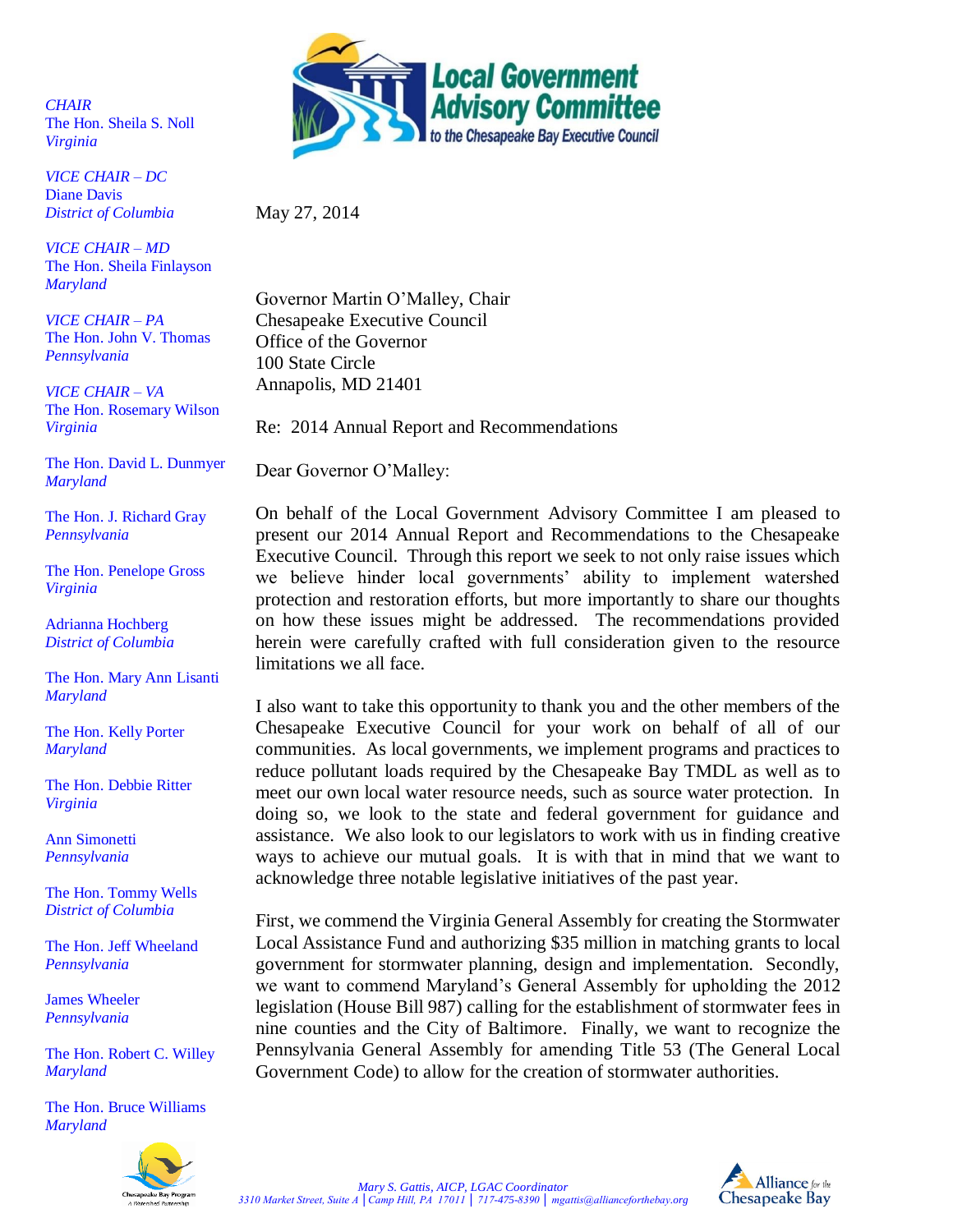*CHAIR* The Hon. Sheila S. Noll *Virginia*

*VICE CHAIR – DC* Diane Davis *District of Columbia* 

*VICE CHAIR – MD* The Hon. Sheila Finlayson *Maryland*

*VICE CHAIR – PA* The Hon. John V. Thomas *Pennsylvania*

*VICE CHAIR – VA* The Hon. Rosemary Wilson *Virginia*

The Hon. David L. Dunmyer *Maryland*

The Hon. J. Richard Gray *Pennsylvania*

The Hon. Penelope Gross *Virginia*

Adrianna Hochberg *District of Columbia*

The Hon. Mary Ann Lisanti *Maryland*

The Hon. Kelly Porter *Maryland*

The Hon. Debbie Ritter *Virginia*

Ann Simonetti *Pennsylvania*

The Hon. Tommy Wells *District of Columbia*

The Hon. Jeff Wheeland *Pennsylvania*

James Wheeler *Pennsylvania* 

The Hon. Robert C. Willey *Maryland*

The Hon. Bruce Williams *Maryland*





May 27, 2014

Governor Martin O'Malley, Chair Chesapeake Executive Council Office of the Governor 100 State Circle Annapolis, MD 21401

Re: 2014 Annual Report and Recommendations

Dear Governor O'Malley:

On behalf of the Local Government Advisory Committee I am pleased to present our 2014 Annual Report and Recommendations to the Chesapeake Executive Council. Through this report we seek to not only raise issues which we believe hinder local governments' ability to implement watershed protection and restoration efforts, but more importantly to share our thoughts on how these issues might be addressed. The recommendations provided herein were carefully crafted with full consideration given to the resource limitations we all face.

I also want to take this opportunity to thank you and the other members of the Chesapeake Executive Council for your work on behalf of all of our communities. As local governments, we implement programs and practices to reduce pollutant loads required by the Chesapeake Bay TMDL as well as to meet our own local water resource needs, such as source water protection. In doing so, we look to the state and federal government for guidance and assistance. We also look to our legislators to work with us in finding creative ways to achieve our mutual goals. It is with that in mind that we want to acknowledge three notable legislative initiatives of the past year.

First, we commend the Virginia General Assembly for creating the Stormwater Local Assistance Fund and authorizing \$35 million in matching grants to local government for stormwater planning, design and implementation. Secondly, we want to commend Maryland's General Assembly for upholding the 2012 legislation (House Bill 987) calling for the establishment of stormwater fees in nine counties and the City of Baltimore. Finally, we want to recognize the Pennsylvania General Assembly for amending Title 53 (The General Local Government Code) to allow for the creation of stormwater authorities.

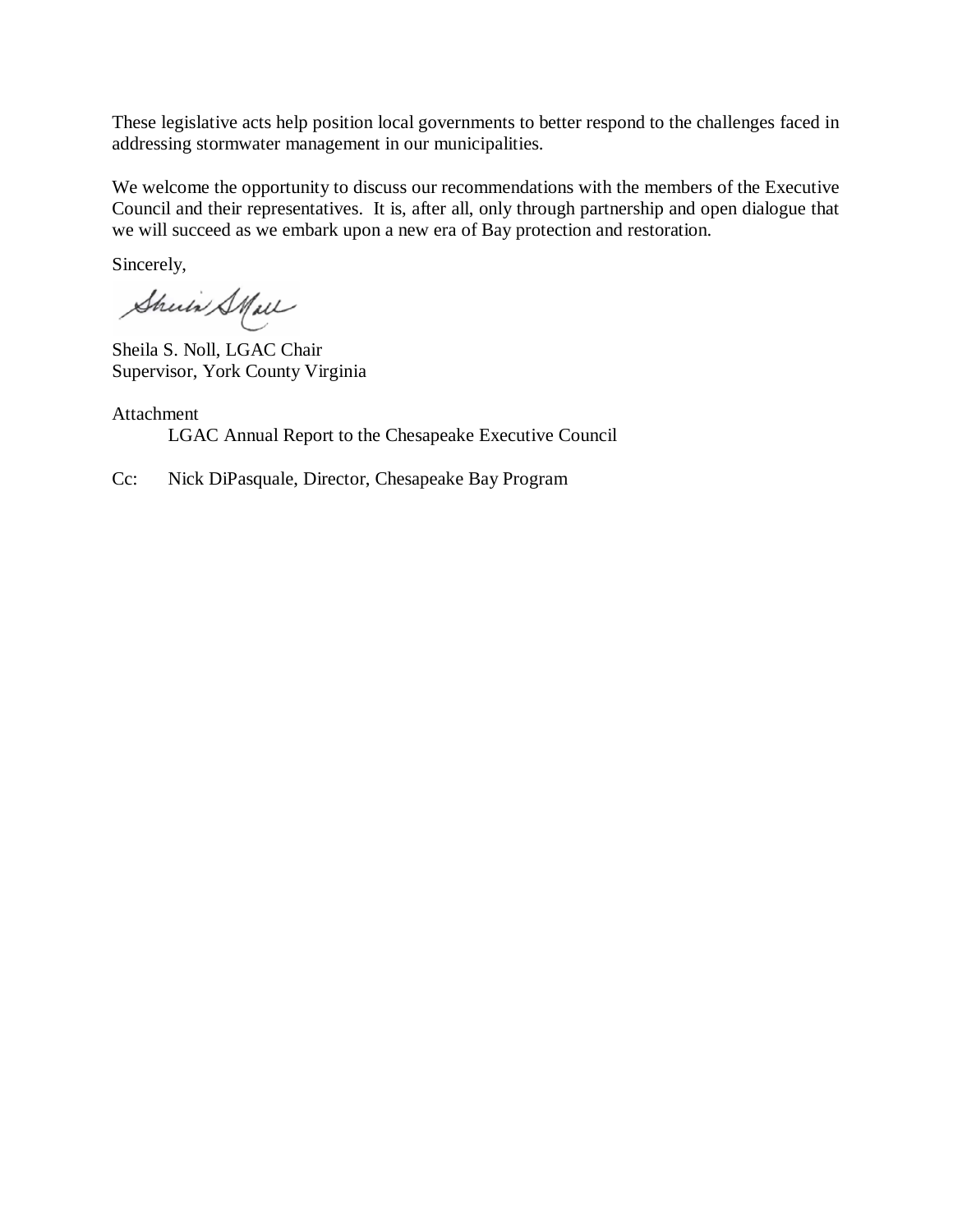These legislative acts help position local governments to better respond to the challenges faced in addressing stormwater management in our municipalities.

We welcome the opportunity to discuss our recommendations with the members of the Executive Council and their representatives. It is, after all, only through partnership and open dialogue that we will succeed as we embark upon a new era of Bay protection and restoration.

Sincerely,

Shuin Stall

Sheila S. Noll, LGAC Chair Supervisor, York County Virginia

Attachment LGAC Annual Report to the Chesapeake Executive Council

Cc: Nick DiPasquale, Director, Chesapeake Bay Program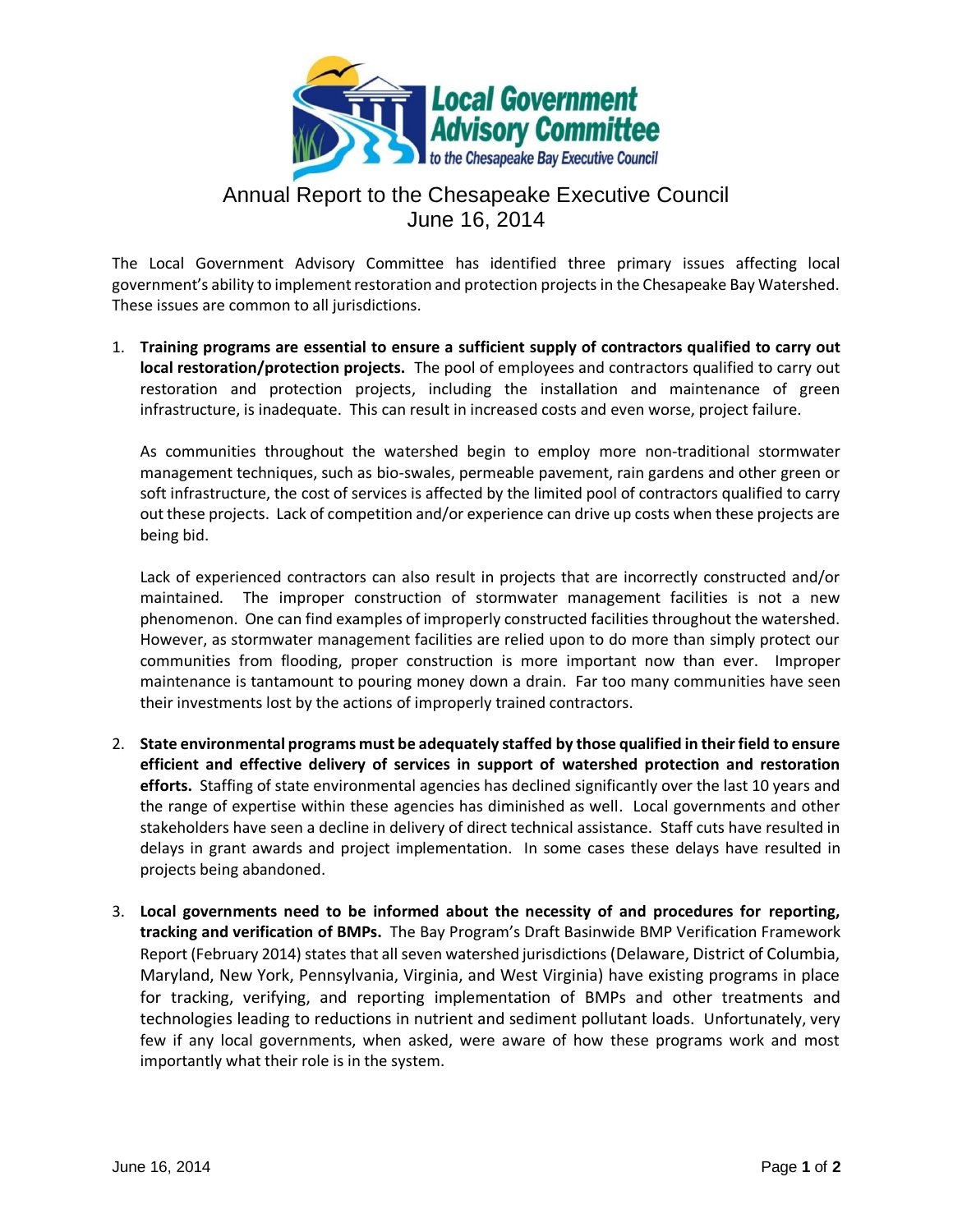

## Annual Report to the Chesapeake Executive Council June 16, 2014

The Local Government Advisory Committee has identified three primary issues affecting local government's ability to implement restoration and protection projects in the Chesapeake Bay Watershed. These issues are common to all jurisdictions.

1. **Training programs are essential to ensure a sufficient supply of contractors qualified to carry out local restoration/protection projects.** The pool of employees and contractors qualified to carry out restoration and protection projects, including the installation and maintenance of green infrastructure, is inadequate. This can result in increased costs and even worse, project failure.

As communities throughout the watershed begin to employ more non-traditional stormwater management techniques, such as bio-swales, permeable pavement, rain gardens and other green or soft infrastructure, the cost of services is affected by the limited pool of contractors qualified to carry out these projects. Lack of competition and/or experience can drive up costs when these projects are being bid.

Lack of experienced contractors can also result in projects that are incorrectly constructed and/or maintained. The improper construction of stormwater management facilities is not a new phenomenon. One can find examples of improperly constructed facilities throughout the watershed. However, as stormwater management facilities are relied upon to do more than simply protect our communities from flooding, proper construction is more important now than ever. Improper maintenance is tantamount to pouring money down a drain. Far too many communities have seen their investments lost by the actions of improperly trained contractors.

- 2. **State environmental programs must be adequately staffed by those qualified in their field to ensure efficient and effective delivery of services in support of watershed protection and restoration efforts.** Staffing of state environmental agencies has declined significantly over the last 10 years and the range of expertise within these agencies has diminished as well. Local governments and other stakeholders have seen a decline in delivery of direct technical assistance. Staff cuts have resulted in delays in grant awards and project implementation. In some cases these delays have resulted in projects being abandoned.
- 3. **Local governments need to be informed about the necessity of and procedures for reporting, tracking and verification of BMPs.** The Bay Program's Draft Basinwide BMP Verification Framework Report (February 2014) states that all seven watershed jurisdictions (Delaware, District of Columbia, Maryland, New York, Pennsylvania, Virginia, and West Virginia) have existing programs in place for tracking, verifying, and reporting implementation of BMPs and other treatments and technologies leading to reductions in nutrient and sediment pollutant loads. Unfortunately, very few if any local governments, when asked, were aware of how these programs work and most importantly what their role is in the system.